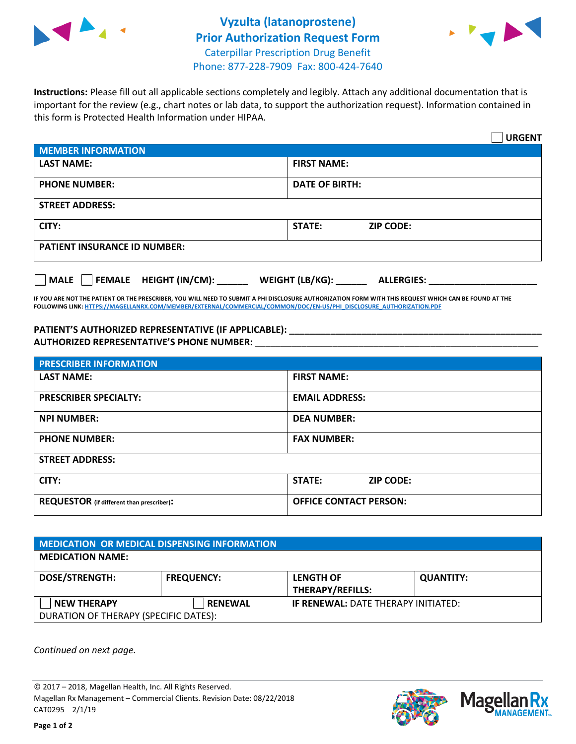



**Instructions:** Please fill out all applicable sections completely and legibly. Attach any additional documentation that is important for the review (e.g., chart notes or lab data, to support the authorization request). Information contained in this form is Protected Health Information under HIPAA.

|                                                | <b>URGENT</b>                        |  |  |  |
|------------------------------------------------|--------------------------------------|--|--|--|
| <b>MEMBER INFORMATION</b>                      |                                      |  |  |  |
| <b>LAST NAME:</b>                              | <b>FIRST NAME:</b>                   |  |  |  |
| <b>PHONE NUMBER:</b>                           | <b>DATE OF BIRTH:</b>                |  |  |  |
| <b>STREET ADDRESS:</b>                         |                                      |  |  |  |
| CITY:                                          | <b>STATE:</b><br><b>ZIP CODE:</b>    |  |  |  |
| <b>PATIENT INSURANCE ID NUMBER:</b>            |                                      |  |  |  |
| $\Box$ FEMALE HEIGHT (IN/CM): _<br><b>MALE</b> | WEIGHT (LB/KG):<br><b>ALLERGIES:</b> |  |  |  |

**IF YOU ARE NOT THE PATIENT OR THE PRESCRIBER, YOU WILL NEED TO SUBMIT A PHI DISCLOSURE AUTHORIZATION FORM WITH THIS REQUEST WHICH CAN BE FOUND AT THE FOLLOWING LINK[: HTTPS://MAGELLANRX.COM/MEMBER/EXTERNAL/COMMERCIAL/COMMON/DOC/EN-US/PHI\\_DISCLOSURE\\_AUTHORIZATION.PDF](https://magellanrx.com/member/external/commercial/common/doc/en-us/PHI_Disclosure_Authorization.pdf)**

**PATIENT'S AUTHORIZED REPRESENTATIVE (IF APPLICABLE): \_\_\_\_\_\_\_\_\_\_\_\_\_\_\_\_\_\_\_\_\_\_\_\_\_\_\_\_\_\_\_\_\_\_\_\_\_\_\_\_\_\_\_\_\_\_\_\_\_ AUTHORIZED REPRESENTATIVE'S PHONE NUMBER:** \_\_\_\_\_\_\_\_\_\_\_\_\_\_\_\_\_\_\_\_\_\_\_\_\_\_\_\_\_\_\_\_\_\_\_\_\_\_\_\_\_\_\_\_\_\_\_\_\_\_\_\_\_\_\_

| <b>PRESCRIBER INFORMATION</b>             |                               |  |  |  |
|-------------------------------------------|-------------------------------|--|--|--|
| <b>LAST NAME:</b>                         | <b>FIRST NAME:</b>            |  |  |  |
| <b>PRESCRIBER SPECIALTY:</b>              | <b>EMAIL ADDRESS:</b>         |  |  |  |
| <b>NPI NUMBER:</b>                        | <b>DEA NUMBER:</b>            |  |  |  |
| <b>PHONE NUMBER:</b>                      | <b>FAX NUMBER:</b>            |  |  |  |
| <b>STREET ADDRESS:</b>                    |                               |  |  |  |
| CITY:                                     | STATE:<br><b>ZIP CODE:</b>    |  |  |  |
| REQUESTOR (if different than prescriber): | <b>OFFICE CONTACT PERSON:</b> |  |  |  |

| <b>MEDICATION OR MEDICAL DISPENSING INFORMATION</b> |                   |                                            |                  |  |  |
|-----------------------------------------------------|-------------------|--------------------------------------------|------------------|--|--|
| <b>MEDICATION NAME:</b>                             |                   |                                            |                  |  |  |
| <b>DOSE/STRENGTH:</b>                               | <b>FREQUENCY:</b> | <b>LENGTH OF</b>                           | <b>QUANTITY:</b> |  |  |
|                                                     |                   | <b>THERAPY/REFILLS:</b>                    |                  |  |  |
| <b>NEW THERAPY</b>                                  | <b>RENEWAL</b>    | <b>IF RENEWAL: DATE THERAPY INITIATED:</b> |                  |  |  |
| DURATION OF THERAPY (SPECIFIC DATES):               |                   |                                            |                  |  |  |

*Continued on next page.*

© 2017 – 2018, Magellan Health, Inc. All Rights Reserved. Magellan Rx Management – Commercial Clients. Revision Date: 08/22/2018 CAT0295 2/1/19